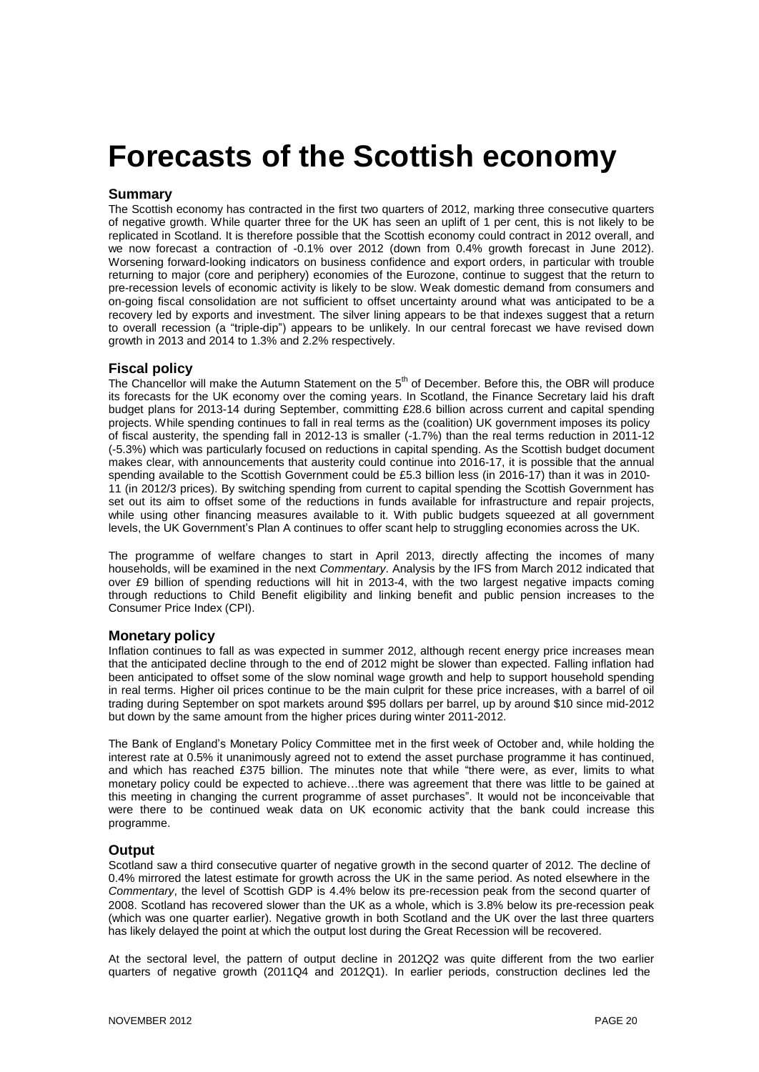# **Forecasts of the Scottish economy**

# **Summary**

The Scottish economy has contracted in the first two quarters of 2012, marking three consecutive quarters of negative growth. While quarter three for the UK has seen an uplift of 1 per cent, this is not likely to be replicated in Scotland. It is therefore possible that the Scottish economy could contract in 2012 overall, and we now forecast a contraction of -0.1% over 2012 (down from 0.4% growth forecast in June 2012). Worsening forward-looking indicators on business confidence and export orders, in particular with trouble returning to major (core and periphery) economies of the Eurozone, continue to suggest that the return to pre-recession levels of economic activity is likely to be slow. Weak domestic demand from consumers and on-going fiscal consolidation are not sufficient to offset uncertainty around what was anticipated to be a recovery led by exports and investment. The silver lining appears to be that indexes suggest that a return to overall recession (a "triple-dip") appears to be unlikely. In our central forecast we have revised down growth in 2013 and 2014 to 1.3% and 2.2% respectively.

# **Fiscal policy**

The Chancellor will make the Autumn Statement on the 5<sup>th</sup> of December. Before this, the OBR will produce its forecasts for the UK economy over the coming years. In Scotland, the Finance Secretary laid his draft budget plans for 2013-14 during September, committing £28.6 billion across current and capital spending projects. While spending continues to fall in real terms as the (coalition) UK government imposes its policy of fiscal austerity, the spending fall in 2012-13 is smaller (-1.7%) than the real terms reduction in 2011-12 (-5.3%) which was particularly focused on reductions in capital spending. As the Scottish budget document makes clear, with announcements that austerity could continue into 2016-17, it is possible that the annual spending available to the Scottish Government could be £5.3 billion less (in 2016-17) than it was in 2010-11 (in 2012/3 prices). By switching spending from current to capital spending the Scottish Government has set out its aim to offset some of the reductions in funds available for infrastructure and repair projects, while using other financing measures available to it. With public budgets squeezed at all government levels, the UK Government's Plan A continues to offer scant help to struggling economies across the UK.

The programme of welfare changes to start in April 2013, directly affecting the incomes of many households, will be examined in the next *Commentary*. Analysis by the IFS from March 2012 indicated that over £9 billion of spending reductions will hit in 2013-4, with the two largest negative impacts coming through reductions to Child Benefit eligibility and linking benefit and public pension increases to the Consumer Price Index (CPI).

# **Monetary policy**

Inflation continues to fall as was expected in summer 2012, although recent energy price increases mean that the anticipated decline through to the end of 2012 might be slower than expected. Falling inflation had been anticipated to offset some of the slow nominal wage growth and help to support household spending in real terms. Higher oil prices continue to be the main culprit for these price increases, with a barrel of oil trading during September on spot markets around \$95 dollars per barrel, up by around \$10 since mid-2012 but down by the same amount from the higher prices during winter 2011-2012.

The Bank of England's Monetary Policy Committee met in the first week of October and, while holding the interest rate at 0.5% it unanimously agreed not to extend the asset purchase programme it has continued, and which has reached £375 billion. The minutes note that while "there were, as ever, limits to what monetary policy could be expected to achieve…there was agreement that there was little to be gained at this meeting in changing the current programme of asset purchases". It would not be inconceivable that were there to be continued weak data on UK economic activity that the bank could increase this programme.

## **Output**

Scotland saw a third consecutive quarter of negative growth in the second quarter of 2012. The decline of 0.4% mirrored the latest estimate for growth across the UK in the same period. As noted elsewhere in the *Commentary*, the level of Scottish GDP is 4.4% below its pre-recession peak from the second quarter of 2008. Scotland has recovered slower than the UK as a whole, which is 3.8% below its pre-recession peak (which was one quarter earlier). Negative growth in both Scotland and the UK over the last three quarters has likely delayed the point at which the output lost during the Great Recession will be recovered.

At the sectoral level, the pattern of output decline in 2012Q2 was quite different from the two earlier quarters of negative growth (2011Q4 and 2012Q1). In earlier periods, construction declines led the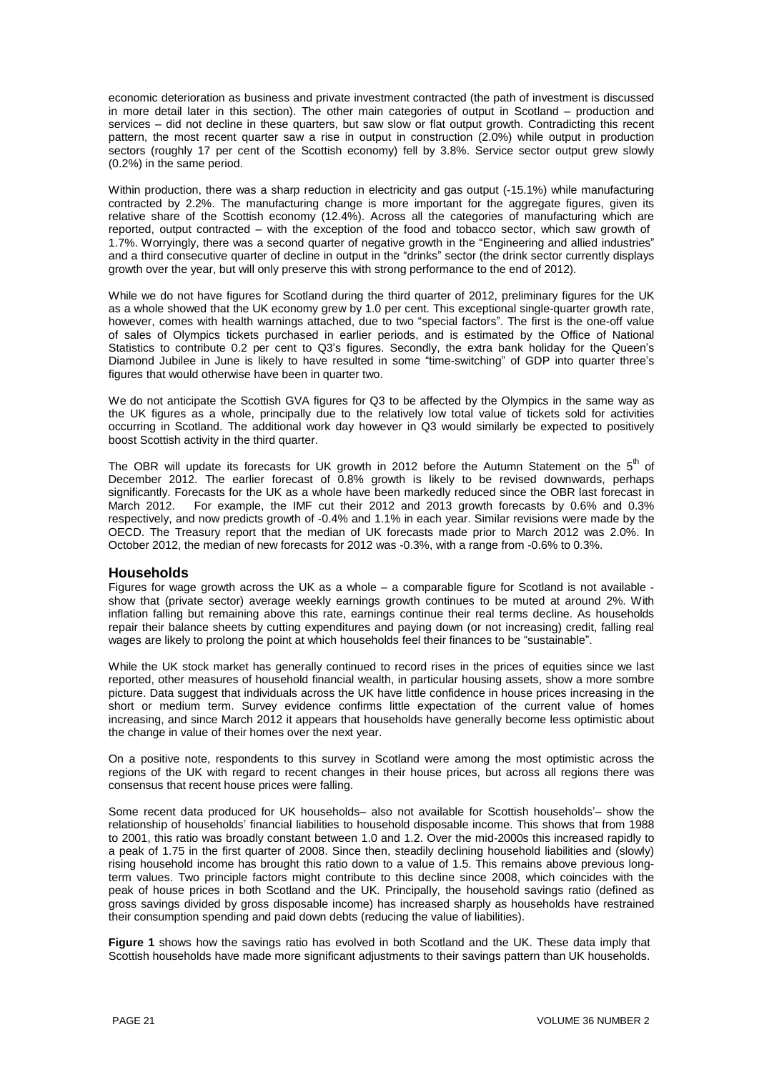economic deterioration as business and private investment contracted (the path of investment is discussed in more detail later in this section). The other main categories of output in Scotland – production and services – did not decline in these quarters, but saw slow or flat output growth. Contradicting this recent pattern, the most recent quarter saw a rise in output in construction (2.0%) while output in production sectors (roughly 17 per cent of the Scottish economy) fell by 3.8%. Service sector output grew slowly (0.2%) in the same period.

Within production, there was a sharp reduction in electricity and gas output (-15.1%) while manufacturing contracted by 2.2%. The manufacturing change is more important for the aggregate figures, given its relative share of the Scottish economy (12.4%). Across all the categories of manufacturing which are reported, output contracted – with the exception of the food and tobacco sector, which saw growth of 1.7%. Worryingly, there was a second quarter of negative growth in the "Engineering and allied industries" and a third consecutive quarter of decline in output in the "drinks" sector (the drink sector currently displays growth over the year, but will only preserve this with strong performance to the end of 2012).

While we do not have figures for Scotland during the third quarter of 2012, preliminary figures for the UK as a whole showed that the UK economy grew by 1.0 per cent. This exceptional single-quarter growth rate, however, comes with health warnings attached, due to two "special factors". The first is the one-off value of sales of Olympics tickets purchased in earlier periods, and is estimated by the Office of National Statistics to contribute 0.2 per cent to Q3's figures. Secondly, the extra bank holiday for the Queen's Diamond Jubilee in June is likely to have resulted in some "time-switching" of GDP into quarter three's figures that would otherwise have been in quarter two.

We do not anticipate the Scottish GVA figures for Q3 to be affected by the Olympics in the same way as the UK figures as a whole, principally due to the relatively low total value of tickets sold for activities occurring in Scotland. The additional work day however in Q3 would similarly be expected to positively boost Scottish activity in the third quarter.

The OBR will update its forecasts for UK growth in 2012 before the Autumn Statement on the  $5<sup>th</sup>$  of December 2012. The earlier forecast of 0.8% growth is likely to be revised downwards, perhaps significantly. Forecasts for the UK as a whole have been markedly reduced since the OBR last forecast in March 2012. For example, the IMF cut their 2012 and 2013 growth forecasts by 0.6% and 0.3% respectively, and now predicts growth of -0.4% and 1.1% in each year. Similar revisions were made by the OECD. The Treasury report that the median of UK forecasts made prior to March 2012 was 2.0%. In October 2012, the median of new forecasts for 2012 was -0.3%, with a range from -0.6% to 0.3%.

## **Households**

Figures for wage growth across the UK as a whole – a comparable figure for Scotland is not available show that (private sector) average weekly earnings growth continues to be muted at around 2%. With inflation falling but remaining above this rate, earnings continue their real terms decline. As households repair their balance sheets by cutting expenditures and paying down (or not increasing) credit, falling real wages are likely to prolong the point at which households feel their finances to be "sustainable".

While the UK stock market has generally continued to record rises in the prices of equities since we last reported, other measures of household financial wealth, in particular housing assets, show a more sombre picture. Data suggest that individuals across the UK have little confidence in house prices increasing in the short or medium term. Survey evidence confirms little expectation of the current value of homes increasing, and since March 2012 it appears that households have generally become less optimistic about the change in value of their homes over the next year.

On a positive note, respondents to this survey in Scotland were among the most optimistic across the regions of the UK with regard to recent changes in their house prices, but across all regions there was consensus that recent house prices were falling.

Some recent data produced for UK households– also not available for Scottish households'– show the relationship of households' financial liabilities to household disposable income. This shows that from 1988 to 2001, this ratio was broadly constant between 1.0 and 1.2. Over the mid-2000s this increased rapidly to a peak of 1.75 in the first quarter of 2008. Since then, steadily declining household liabilities and (slowly) rising household income has brought this ratio down to a value of 1.5. This remains above previous longterm values. Two principle factors might contribute to this decline since 2008, which coincides with the peak of house prices in both Scotland and the UK. Principally, the household savings ratio (defined as gross savings divided by gross disposable income) has increased sharply as households have restrained their consumption spending and paid down debts (reducing the value of liabilities).

**Figure 1** shows how the savings ratio has evolved in both Scotland and the UK. These data imply that Scottish households have made more significant adjustments to their savings pattern than UK households.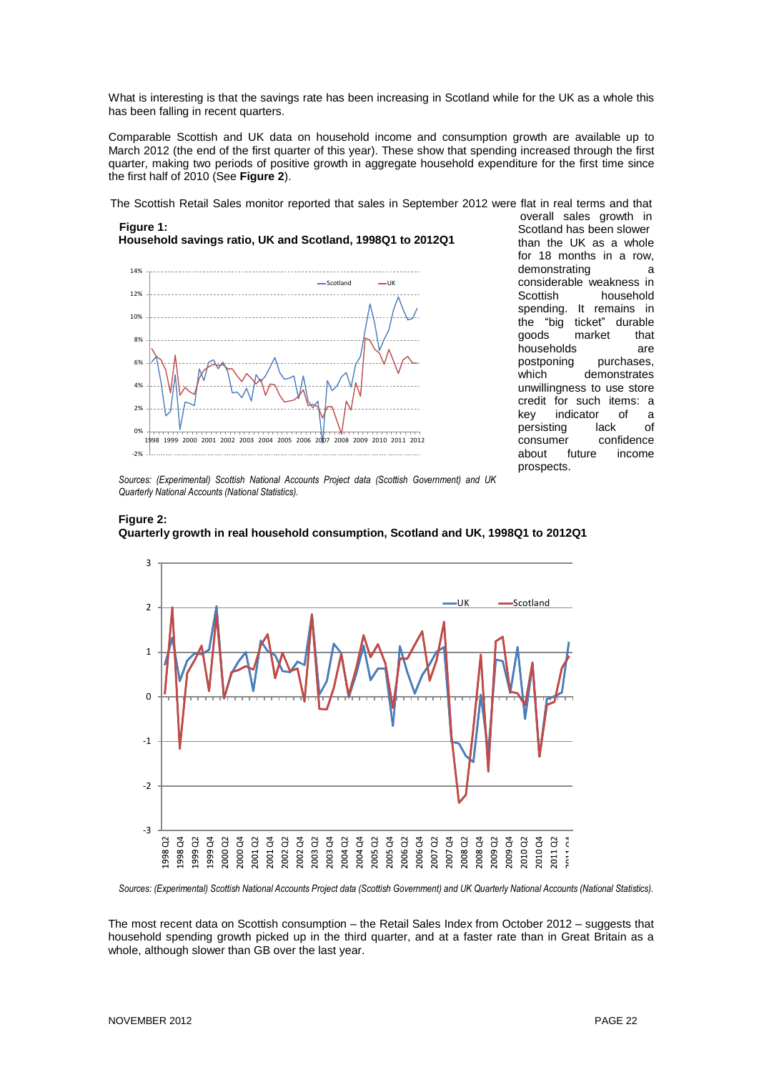What is interesting is that the savings rate has been increasing in Scotland while for the UK as a whole this has been falling in recent quarters.

Comparable Scottish and UK data on household income and consumption growth are available up to March 2012 (the end of the first quarter of this year). These show that spending increased through the first quarter, making two periods of positive growth in aggregate household expenditure for the first time since the first half of 2010 (See **Figure 2**).

The Scottish Retail Sales monitor reported that sales in September 2012 were flat in real terms and that

#### **Figure 1: Household savings ratio, UK and Scotland, 1998Q1 to 2012Q1**



overall sales growth in Scotland has been slower than the UK as a whole for 18 months in a row, demonstrating a considerable weakness in Scottish household spending. It remains in the "big ticket" durable goods market that households are<br>postponing purchases, purchases. which demonstrates unwillingness to use store credit for such items: a<br>key indicator of a key indicator of a persisting lack of consumer confidence about future income prospects.

*Sources: (Experimental) Scottish National Accounts Project data (Scottish Government) and UK Quarterly National Accounts (National Statistics).*

# **Figure 2: Quarterly growth in real household consumption, Scotland and UK, 1998Q1 to 2012Q1**



Sources: (Experimental) Scottish National Accounts Project data (Scottish Government) and UK Quarterly National Accounts (National Statistics).

The most recent data on Scottish consumption – the Retail Sales Index from October 2012 – suggests that household spending growth picked up in the third quarter, and at a faster rate than in Great Britain as a whole, although slower than GB over the last year.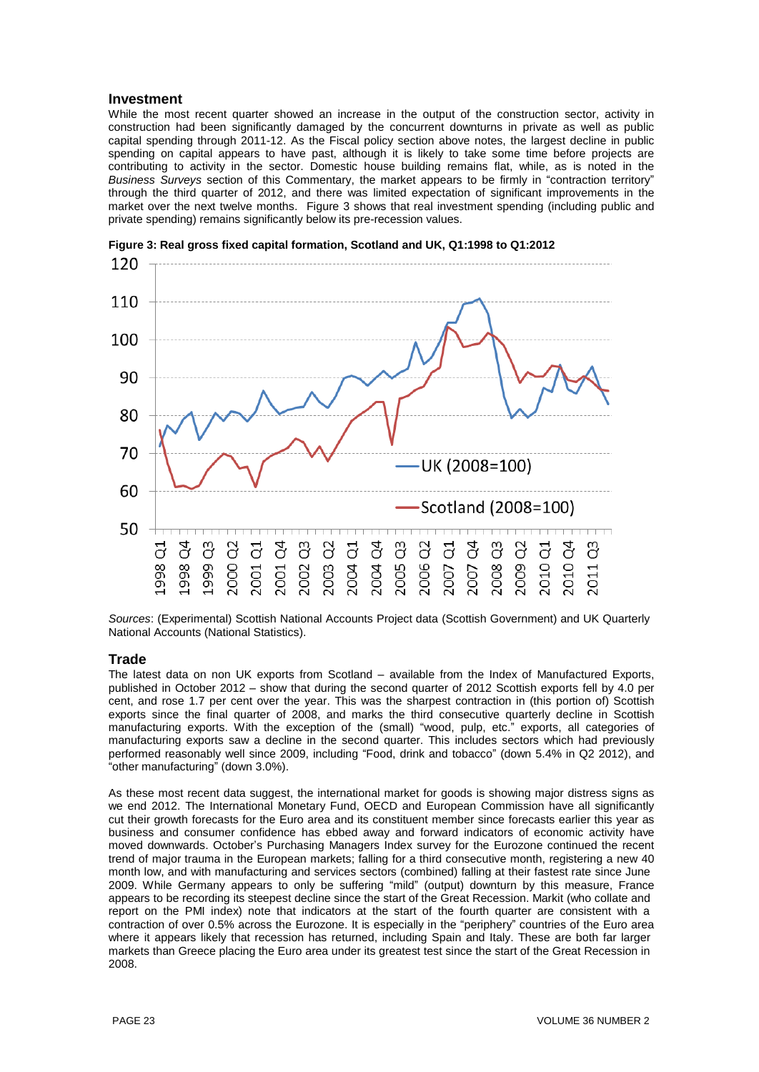# **Investment**

While the most recent quarter showed an increase in the output of the construction sector, activity in construction had been significantly damaged by the concurrent downturns in private as well as public capital spending through 2011-12. As the Fiscal policy section above notes, the largest decline in public spending on capital appears to have past, although it is likely to take some time before projects are contributing to activity in the sector. Domestic house building remains flat, while, as is noted in the *Business Surveys* section of this Commentary, the market appears to be firmly in "contraction territory" through the third quarter of 2012, and there was limited expectation of significant improvements in the market over the next twelve months. Figure 3 shows that real investment spending (including public and private spending) remains significantly below its pre-recession values.



**Figure 3: Real gross fixed capital formation, Scotland and UK, Q1:1998 to Q1:2012**

*Sources*: (Experimental) Scottish National Accounts Project data (Scottish Government) and UK Quarterly National Accounts (National Statistics).

## **Trade**

The latest data on non UK exports from Scotland – available from the Index of Manufactured Exports, published in October 2012 – show that during the second quarter of 2012 Scottish exports fell by 4.0 per cent, and rose 1.7 per cent over the year. This was the sharpest contraction in (this portion of) Scottish exports since the final quarter of 2008, and marks the third consecutive quarterly decline in Scottish manufacturing exports. With the exception of the (small) "wood, pulp, etc." exports, all categories of manufacturing exports saw a decline in the second quarter. This includes sectors which had previously performed reasonably well since 2009, including "Food, drink and tobacco" (down 5.4% in Q2 2012), and "other manufacturing" (down 3.0%).

As these most recent data suggest, the international market for goods is showing major distress signs as we end 2012. The International Monetary Fund, OECD and European Commission have all significantly cut their growth forecasts for the Euro area and its constituent member since forecasts earlier this year as business and consumer confidence has ebbed away and forward indicators of economic activity have moved downwards. October's Purchasing Managers Index survey for the Eurozone continued the recent trend of major trauma in the European markets; falling for a third consecutive month, registering a new 40 month low, and with manufacturing and services sectors (combined) falling at their fastest rate since June 2009. While Germany appears to only be suffering "mild" (output) downturn by this measure, France appears to be recording its steepest decline since the start of the Great Recession. Markit (who collate and report on the PMI index) note that indicators at the start of the fourth quarter are consistent with a contraction of over 0.5% across the Eurozone. It is especially in the "periphery" countries of the Euro area where it appears likely that recession has returned, including Spain and Italy. These are both far larger markets than Greece placing the Euro area under its greatest test since the start of the Great Recession in 2008.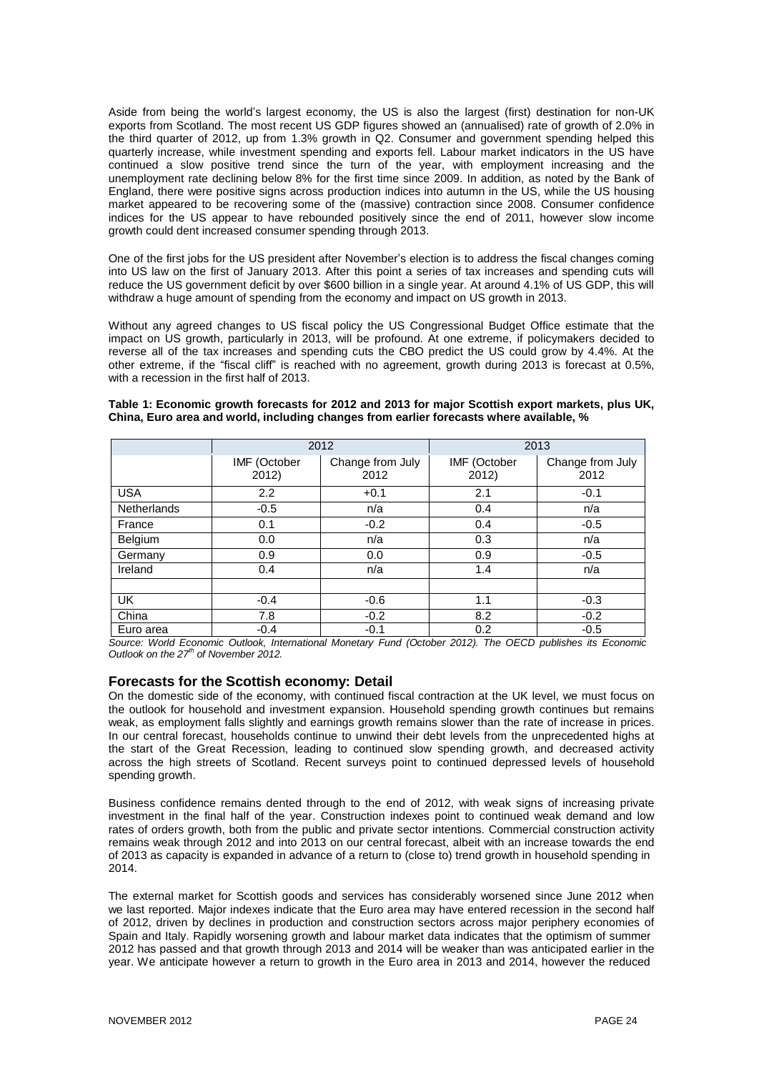Aside from being the world's largest economy, the US is also the largest (first) destination for non-UK exports from Scotland. The most recent US GDP figures showed an (annualised) rate of growth of 2.0% in the third quarter of 2012, up from 1.3% growth in Q2. Consumer and government spending helped this quarterly increase, while investment spending and exports fell. Labour market indicators in the US have continued a slow positive trend since the turn of the year, with employment increasing and the unemployment rate declining below 8% for the first time since 2009. In addition, as noted by the Bank of England, there were positive signs across production indices into autumn in the US, while the US housing market appeared to be recovering some of the (massive) contraction since 2008. Consumer confidence indices for the US appear to have rebounded positively since the end of 2011, however slow income growth could dent increased consumer spending through 2013.

One of the first jobs for the US president after November's election is to address the fiscal changes coming into US law on the first of January 2013. After this point a series of tax increases and spending cuts will reduce the US government deficit by over \$600 billion in a single year. At around 4.1% of US GDP, this will withdraw a huge amount of spending from the economy and impact on US growth in 2013.

Without any agreed changes to US fiscal policy the US Congressional Budget Office estimate that the impact on US growth, particularly in 2013, will be profound. At one extreme, if policymakers decided to reverse all of the tax increases and spending cuts the CBO predict the US could grow by 4.4%. At the other extreme, if the "fiscal cliff" is reached with no agreement, growth during 2013 is forecast at 0.5%, with a recession in the first half of 2013.

|                    | 2012                  |                          | 2013                  |                          |
|--------------------|-----------------------|--------------------------|-----------------------|--------------------------|
|                    | IMF (October<br>2012) | Change from July<br>2012 | IMF (October<br>2012) | Change from July<br>2012 |
| <b>USA</b>         | 2.2                   | $+0.1$                   | 2.1                   | $-0.1$                   |
| <b>Netherlands</b> | $-0.5$                | n/a                      | 0.4                   | n/a                      |
| France             | 0.1                   | $-0.2$                   | 0.4                   | $-0.5$                   |
| Belgium            | 0.0                   | n/a                      | 0.3                   | n/a                      |
| Germany            | 0.9                   | 0.0                      | 0.9                   | $-0.5$                   |
| Ireland            | 0.4                   | n/a                      | 1.4                   | n/a                      |
|                    |                       |                          |                       |                          |
| <b>UK</b>          | $-0.4$                | $-0.6$                   | 1.1                   | $-0.3$                   |
| China              | 7.8                   | $-0.2$                   | 8.2                   | $-0.2$                   |
| Euro area          | $-0.4$                | $-0.1$                   | 0.2                   | $-0.5$                   |

#### **Table 1: Economic growth forecasts for 2012 and 2013 for major Scottish export markets, plus UK, China, Euro area and world, including changes from earlier forecasts where available, %**

*Source: World Economic Outlook, International Monetary Fund (October 2012). The OECD publishes its Economic Outlook on the 27 th of November 2012.*

## **Forecasts for the Scottish economy: Detail**

On the domestic side of the economy, with continued fiscal contraction at the UK level, we must focus on the outlook for household and investment expansion. Household spending growth continues but remains weak, as employment falls slightly and earnings growth remains slower than the rate of increase in prices. In our central forecast, households continue to unwind their debt levels from the unprecedented highs at the start of the Great Recession, leading to continued slow spending growth, and decreased activity across the high streets of Scotland. Recent surveys point to continued depressed levels of household spending growth.

Business confidence remains dented through to the end of 2012, with weak signs of increasing private investment in the final half of the year. Construction indexes point to continued weak demand and low rates of orders growth, both from the public and private sector intentions. Commercial construction activity remains weak through 2012 and into 2013 on our central forecast, albeit with an increase towards the end of 2013 as capacity is expanded in advance of a return to (close to) trend growth in household spending in 2014.

The external market for Scottish goods and services has considerably worsened since June 2012 when we last reported. Major indexes indicate that the Euro area may have entered recession in the second half of 2012, driven by declines in production and construction sectors across major periphery economies of Spain and Italy. Rapidly worsening growth and labour market data indicates that the optimism of summer 2012 has passed and that growth through 2013 and 2014 will be weaker than was anticipated earlier in the year. We anticipate however a return to growth in the Euro area in 2013 and 2014, however the reduced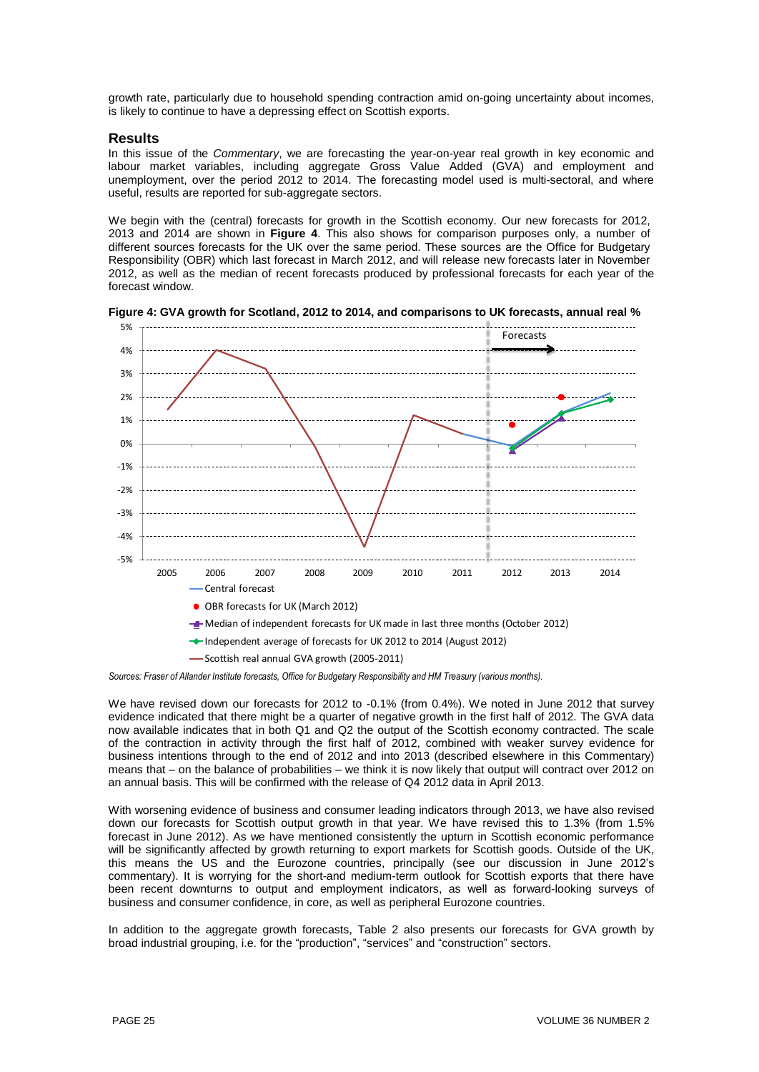growth rate, particularly due to household spending contraction amid on-going uncertainty about incomes, is likely to continue to have a depressing effect on Scottish exports.

#### **Results**

In this issue of the *Commentary*, we are forecasting the year-on-year real growth in key economic and labour market variables, including aggregate Gross Value Added (GVA) and employment and unemployment, over the period 2012 to 2014. The forecasting model used is multi-sectoral, and where useful, results are reported for sub-aggregate sectors.

We begin with the (central) forecasts for growth in the Scottish economy. Our new forecasts for 2012, 2013 and 2014 are shown in **Figure 4**. This also shows for comparison purposes only, a number of different sources forecasts for the UK over the same period. These sources are the Office for Budgetary Responsibility (OBR) which last forecast in March 2012, and will release new forecasts later in November 2012, as well as the median of recent forecasts produced by professional forecasts for each year of the forecast window.



**Figure 4: GVA growth for Scotland, 2012 to 2014, and comparisons to UK forecasts, annual real %**

*Sources: Fraser of Allander Institute forecasts, Office for Budgetary Responsibility and HM Treasury (various months).*

We have revised down our forecasts for 2012 to -0.1% (from 0.4%). We noted in June 2012 that survey evidence indicated that there might be a quarter of negative growth in the first half of 2012. The GVA data now available indicates that in both Q1 and Q2 the output of the Scottish economy contracted. The scale of the contraction in activity through the first half of 2012, combined with weaker survey evidence for business intentions through to the end of 2012 and into 2013 (described elsewhere in this Commentary) means that – on the balance of probabilities – we think it is now likely that output will contract over 2012 on an annual basis. This will be confirmed with the release of Q4 2012 data in April 2013.

With worsening evidence of business and consumer leading indicators through 2013, we have also revised down our forecasts for Scottish output growth in that year. We have revised this to 1.3% (from 1.5% forecast in June 2012). As we have mentioned consistently the upturn in Scottish economic performance will be significantly affected by growth returning to export markets for Scottish goods. Outside of the UK, this means the US and the Eurozone countries, principally (see our discussion in June 2012's commentary). It is worrying for the short-and medium-term outlook for Scottish exports that there have been recent downturns to output and employment indicators, as well as forward-looking surveys of business and consumer confidence, in core, as well as peripheral Eurozone countries.

In addition to the aggregate growth forecasts, Table 2 also presents our forecasts for GVA growth by broad industrial grouping, i.e. for the "production", "services" and "construction" sectors.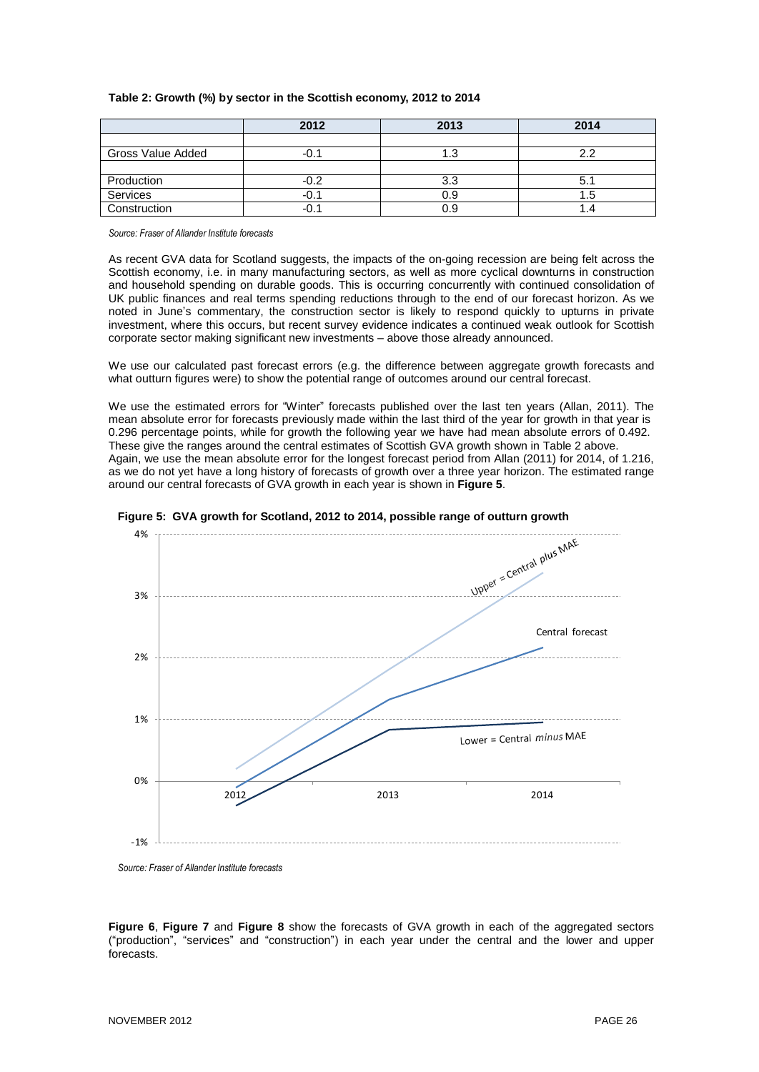|  | Table 2: Growth (%) by sector in the Scottish economy, 2012 to 2014 |  |
|--|---------------------------------------------------------------------|--|
|--|---------------------------------------------------------------------|--|

|                   | 2012   | 2013 | 2014 |
|-------------------|--------|------|------|
|                   |        |      |      |
| Gross Value Added | -0.1   |      | っっ   |
|                   |        |      |      |
| Production        | $-0.2$ | 3.3  | 5.1  |
| Services          | $-0.1$ | 0.9  | 1.5  |
| Construction      | -0.1   | 0.9  | .4   |

*Source: Fraser of Allander Institute forecasts*

As recent GVA data for Scotland suggests, the impacts of the on-going recession are being felt across the Scottish economy, i.e. in many manufacturing sectors, as well as more cyclical downturns in construction and household spending on durable goods. This is occurring concurrently with continued consolidation of UK public finances and real terms spending reductions through to the end of our forecast horizon. As we noted in June's commentary, the construction sector is likely to respond quickly to upturns in private investment, where this occurs, but recent survey evidence indicates a continued weak outlook for Scottish corporate sector making significant new investments – above those already announced.

We use our calculated past forecast errors (e.g. the difference between aggregate growth forecasts and what outturn figures were) to show the potential range of outcomes around our central forecast.

We use the estimated errors for "Winter" forecasts published over the last ten years (Allan, 2011). The mean absolute error for forecasts previously made within the last third of the year for growth in that year is 0.296 percentage points, while for growth the following year we have had mean absolute errors of 0.492. These give the ranges around the central estimates of Scottish GVA growth shown in Table 2 above. Again, we use the mean absolute error for the longest forecast period from Allan (2011) for 2014, of 1.216, as we do not yet have a long history of forecasts of growth over a three year horizon. The estimated range around our central forecasts of GVA growth in each year is shown in **Figure 5**.





*Source: Fraser of Allander Institute forecasts*

**Figure 6**, **Figure 7** and **Figure 8** show the forecasts of GVA growth in each of the aggregated sectors ("production", "servi**c**es" and "construction") in each year under the central and the lower and upper forecasts.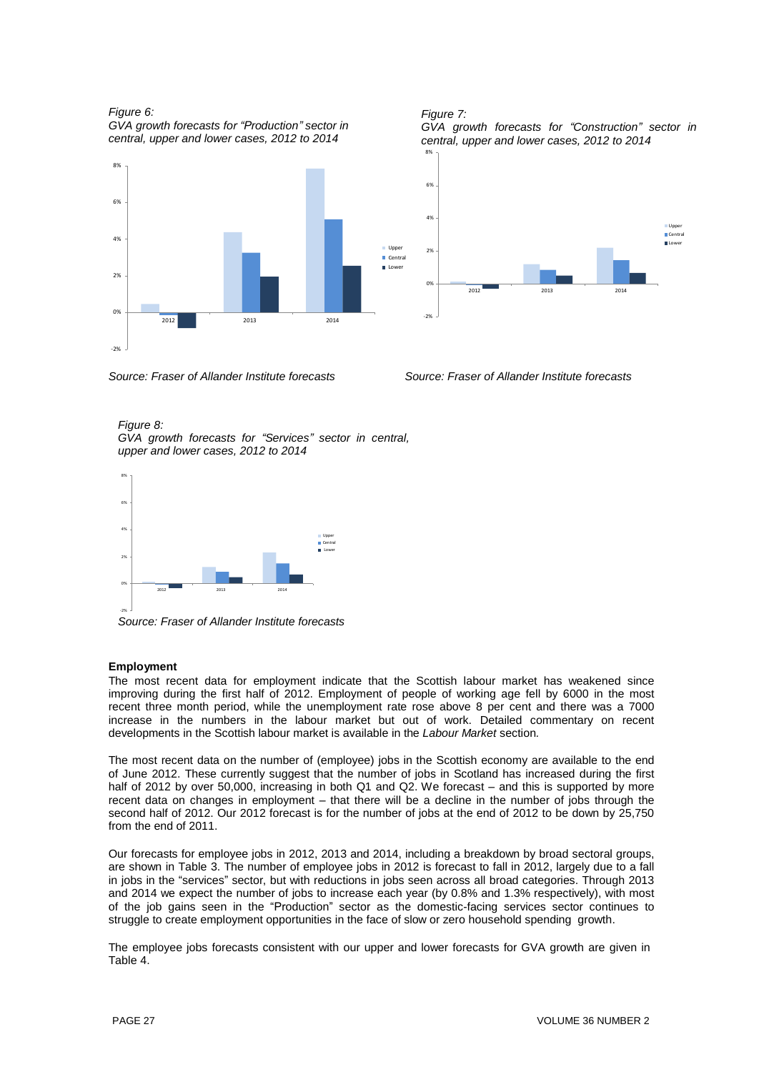*Figure 6:*

*GVA growth forecasts for "Production" sector in central, upper and lower cases, 2012 to 2014*





*Source: Fraser of Allander Institute forecasts Source: Fraser of Allander Institute forecasts*

*Figure 8: GVA growth forecasts for "Services" sector in central, upper and lower cases, 2012 to 2014*



*Source: Fraser of Allander Institute forecasts*

## **Employment**

The most recent data for employment indicate that the Scottish labour market has weakened since improving during the first half of 2012. Employment of people of working age fell by 6000 in the most recent three month period, while the unemployment rate rose above 8 per cent and there was a 7000 increase in the numbers in the labour market but out of work. Detailed commentary on recent developments in the Scottish labour market is available in the *Labour Market* section*.*

The most recent data on the number of (employee) jobs in the Scottish economy are available to the end of June 2012. These currently suggest that the number of jobs in Scotland has increased during the first half of 2012 by over 50,000, increasing in both Q1 and Q2. We forecast – and this is supported by more recent data on changes in employment – that there will be a decline in the number of jobs through the second half of 2012. Our 2012 forecast is for the number of jobs at the end of 2012 to be down by 25,750 from the end of 2011.

Our forecasts for employee jobs in 2012, 2013 and 2014, including a breakdown by broad sectoral groups, are shown in Table 3. The number of employee jobs in 2012 is forecast to fall in 2012, largely due to a fall in jobs in the "services" sector, but with reductions in jobs seen across all broad categories. Through 2013 and 2014 we expect the number of jobs to increase each year (by 0.8% and 1.3% respectively), with most of the job gains seen in the "Production" sector as the domestic-facing services sector continues to struggle to create employment opportunities in the face of slow or zero household spending growth.

The employee jobs forecasts consistent with our upper and lower forecasts for GVA growth are given in Table 4.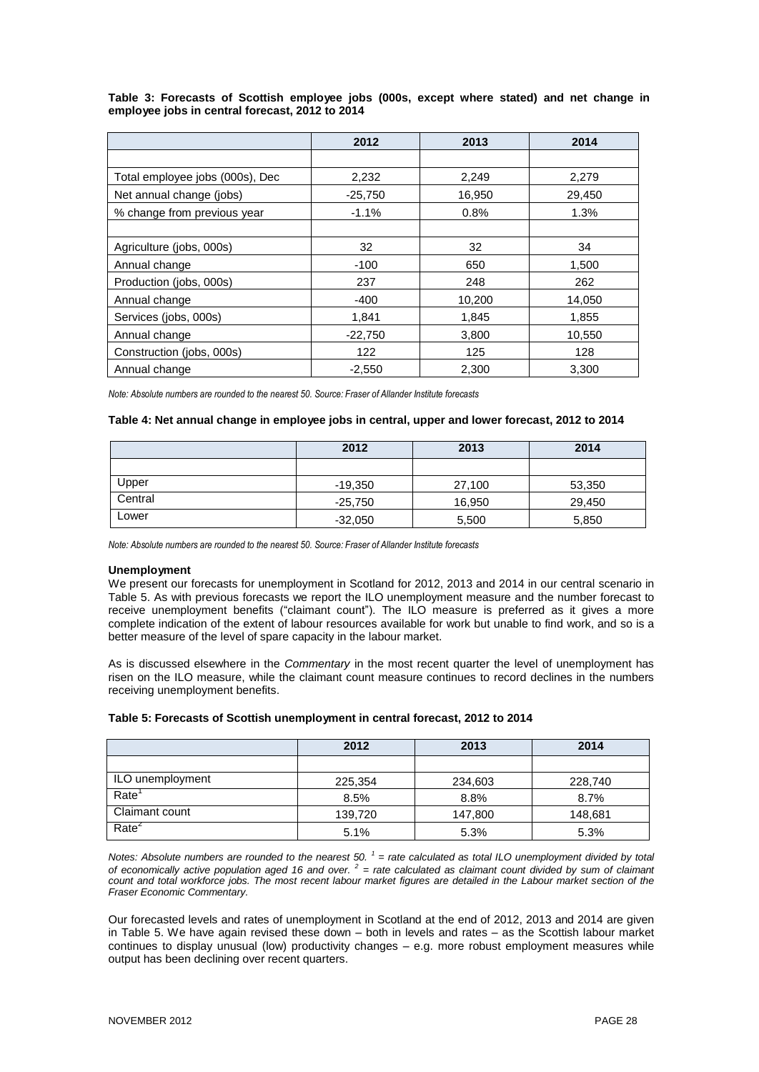#### **Table 3: Forecasts of Scottish employee jobs (000s, except where stated) and net change in employee jobs in central forecast, 2012 to 2014**

|                                 | 2012      | 2013   | 2014   |
|---------------------------------|-----------|--------|--------|
|                                 |           |        |        |
| Total employee jobs (000s), Dec | 2,232     | 2,249  | 2,279  |
| Net annual change (jobs)        | $-25,750$ | 16,950 | 29,450 |
| % change from previous year     | $-1.1%$   | 0.8%   | 1.3%   |
|                                 |           |        |        |
| Agriculture (jobs, 000s)        | 32        | 32     | 34     |
| Annual change                   | $-100$    | 650    | 1,500  |
| Production (jobs, 000s)         | 237       | 248    | 262    |
| Annual change                   | $-400$    | 10,200 | 14,050 |
| Services (jobs, 000s)           | 1,841     | 1,845  | 1,855  |
| Annual change                   | $-22,750$ | 3,800  | 10,550 |
| Construction (jobs, 000s)       | 122       | 125    | 128    |
| Annual change                   | $-2.550$  | 2.300  | 3.300  |

*Note: Absolute numbers are rounded to the nearest 50. Source: Fraser of Allander Institute forecasts*

#### **Table 4: Net annual change in employee jobs in central, upper and lower forecast, 2012 to 2014**

|         | 2012      | 2013   | 2014   |
|---------|-----------|--------|--------|
|         |           |        |        |
| Upper   | -19,350   | 27,100 | 53,350 |
| Central | $-25,750$ | 16,950 | 29,450 |
| Lower   | $-32,050$ | 5,500  | 5,850  |

*Note: Absolute numbers are rounded to the nearest 50. Source: Fraser of Allander Institute forecasts*

#### **Unemployment**

We present our forecasts for unemployment in Scotland for 2012, 2013 and 2014 in our central scenario in Table 5. As with previous forecasts we report the ILO unemployment measure and the number forecast to receive unemployment benefits ("claimant count"). The ILO measure is preferred as it gives a more complete indication of the extent of labour resources available for work but unable to find work, and so is a better measure of the level of spare capacity in the labour market.

As is discussed elsewhere in the *Commentary* in the most recent quarter the level of unemployment has risen on the ILO measure, while the claimant count measure continues to record declines in the numbers receiving unemployment benefits.

#### **Table 5: Forecasts of Scottish unemployment in central forecast, 2012 to 2014**

|                   | 2012    | 2013    | 2014    |
|-------------------|---------|---------|---------|
|                   |         |         |         |
| ILO unemployment  | 225,354 | 234,603 | 228,740 |
| Rate              | 8.5%    | 8.8%    | 8.7%    |
| Claimant count    | 139,720 | 147,800 | 148,681 |
| Rate <sup>2</sup> | 5.1%    | 5.3%    | 5.3%    |

Notes: Absolute numbers are rounded to the nearest 50.  $1$  = rate calculated as total ILO unemployment divided by total of economically active population aged 16 and over.  $^2$  = rate calculated as claimant count divided by sum of claimant count and total workforce jobs. The most recent labour market figures are detailed in the Labour market section of the *Fraser Economic Commentary.*

Our forecasted levels and rates of unemployment in Scotland at the end of 2012, 2013 and 2014 are given in Table 5. We have again revised these down – both in levels and rates – as the Scottish labour market continues to display unusual (low) productivity changes – e.g. more robust employment measures while output has been declining over recent quarters.